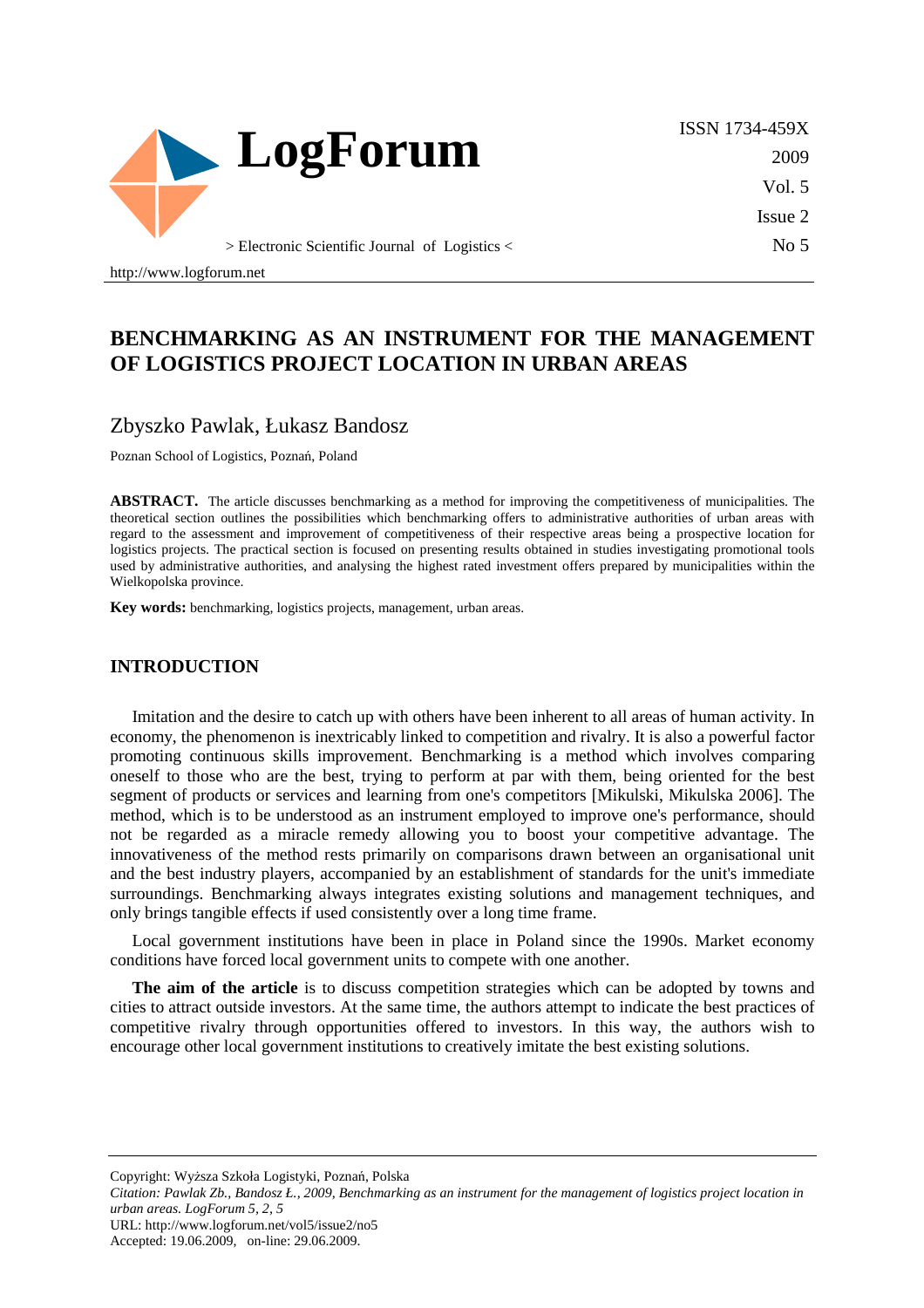

ISSN 1734-459X 2009 Vol. 5 Issue 2  $No<sub>5</sub>$ 

# **BENCHMARKING AS AN INSTRUMENT FOR THE MANAGEMENT OF LOGISTICS PROJECT LOCATION IN URBAN AREAS**

### Zbyszko Pawlak, Łukasz Bandosz

Poznan School of Logistics, Poznań, Poland

**ABSTRACT.** The article discusses benchmarking as a method for improving the competitiveness of municipalities. The theoretical section outlines the possibilities which benchmarking offers to administrative authorities of urban areas with regard to the assessment and improvement of competitiveness of their respective areas being a prospective location for logistics projects. The practical section is focused on presenting results obtained in studies investigating promotional tools used by administrative authorities, and analysing the highest rated investment offers prepared by municipalities within the Wielkopolska province.

**Key words:** benchmarking, logistics projects, management, urban areas.

#### **INTRODUCTION**

http://www.logforum.net

Imitation and the desire to catch up with others have been inherent to all areas of human activity. In economy, the phenomenon is inextricably linked to competition and rivalry. It is also a powerful factor promoting continuous skills improvement. Benchmarking is a method which involves comparing oneself to those who are the best, trying to perform at par with them, being oriented for the best segment of products or services and learning from one's competitors [Mikulski, Mikulska 2006]. The method, which is to be understood as an instrument employed to improve one's performance, should not be regarded as a miracle remedy allowing you to boost your competitive advantage. The innovativeness of the method rests primarily on comparisons drawn between an organisational unit and the best industry players, accompanied by an establishment of standards for the unit's immediate surroundings. Benchmarking always integrates existing solutions and management techniques, and only brings tangible effects if used consistently over a long time frame.

Local government institutions have been in place in Poland since the 1990s. Market economy conditions have forced local government units to compete with one another.

The aim of the article is to discuss competition strategies which can be adopted by towns and cities to attract outside investors. At the same time, the authors attempt to indicate the best practices of competitive rivalry through opportunities offered to investors. In this way, the authors wish to encourage other local government institutions to creatively imitate the best existing solutions.

Copyright: Wyższa Szkoła Logistyki, Poznań, Polska

*Citation: Pawlak Zb., Bandosz Ł., 2009, Benchmarking as an instrument for the management of logistics project location in urban areas. LogForum 5, 2, 5*  URL: http://www.logforum.net/vol5/issue2/no5

Accepted: 19.06.2009, on-line: 29.06.2009.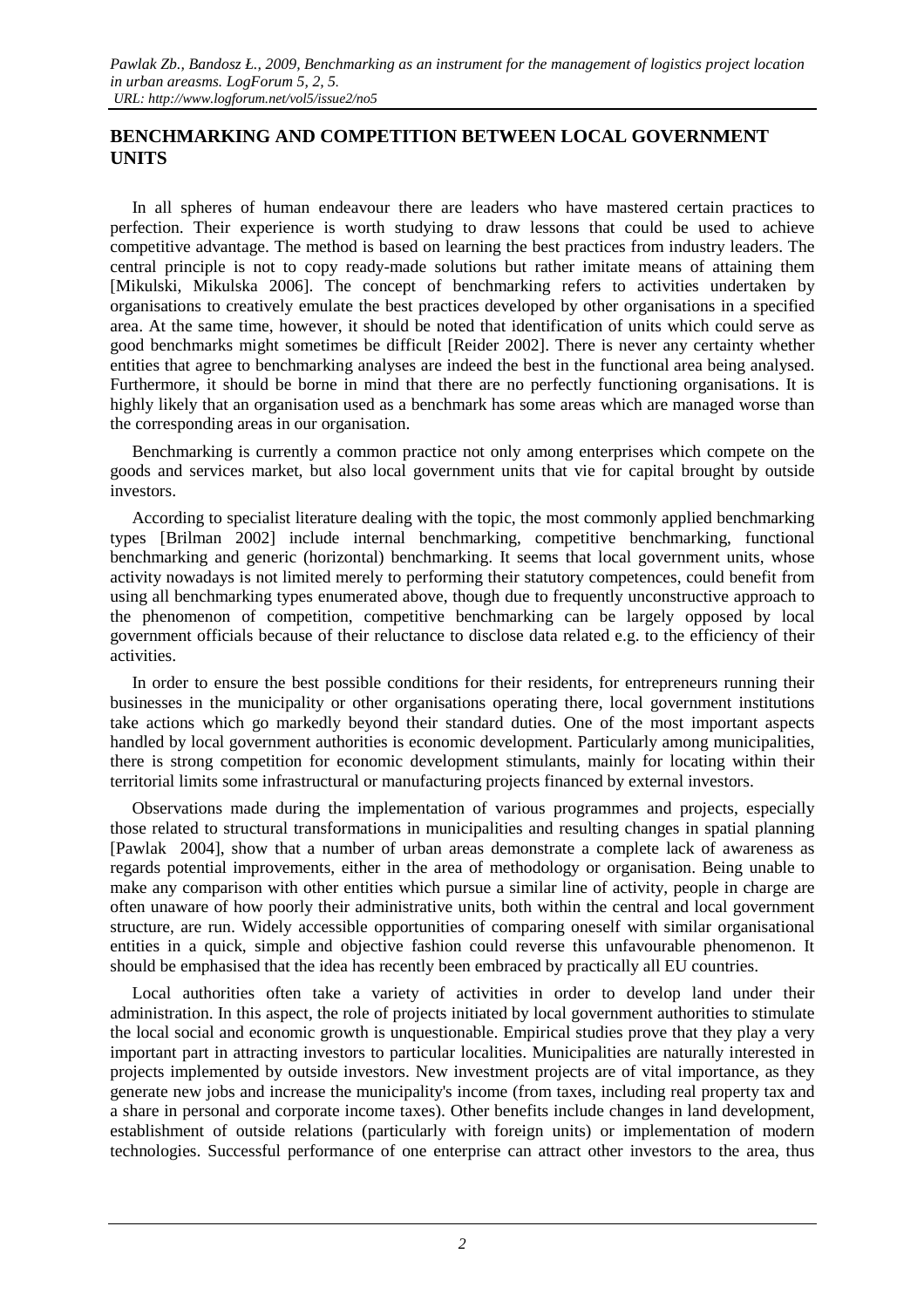### **BENCHMARKING AND COMPETITION BETWEEN LOCAL GOVERNMENT UNITS**

In all spheres of human endeavour there are leaders who have mastered certain practices to perfection. Their experience is worth studying to draw lessons that could be used to achieve competitive advantage. The method is based on learning the best practices from industry leaders. The central principle is not to copy ready-made solutions but rather imitate means of attaining them [Mikulski, Mikulska 2006]. The concept of benchmarking refers to activities undertaken by organisations to creatively emulate the best practices developed by other organisations in a specified area. At the same time, however, it should be noted that identification of units which could serve as good benchmarks might sometimes be difficult [Reider 2002]. There is never any certainty whether entities that agree to benchmarking analyses are indeed the best in the functional area being analysed. Furthermore, it should be borne in mind that there are no perfectly functioning organisations. It is highly likely that an organisation used as a benchmark has some areas which are managed worse than the corresponding areas in our organisation.

Benchmarking is currently a common practice not only among enterprises which compete on the goods and services market, but also local government units that vie for capital brought by outside investors.

According to specialist literature dealing with the topic, the most commonly applied benchmarking types [Brilman 2002] include internal benchmarking, competitive benchmarking, functional benchmarking and generic (horizontal) benchmarking. It seems that local government units, whose activity nowadays is not limited merely to performing their statutory competences, could benefit from using all benchmarking types enumerated above, though due to frequently unconstructive approach to the phenomenon of competition, competitive benchmarking can be largely opposed by local government officials because of their reluctance to disclose data related e.g. to the efficiency of their activities.

In order to ensure the best possible conditions for their residents, for entrepreneurs running their businesses in the municipality or other organisations operating there, local government institutions take actions which go markedly beyond their standard duties. One of the most important aspects handled by local government authorities is economic development. Particularly among municipalities, there is strong competition for economic development stimulants, mainly for locating within their territorial limits some infrastructural or manufacturing projects financed by external investors.

Observations made during the implementation of various programmes and projects, especially those related to structural transformations in municipalities and resulting changes in spatial planning [Pawlak 2004], show that a number of urban areas demonstrate a complete lack of awareness as regards potential improvements, either in the area of methodology or organisation. Being unable to make any comparison with other entities which pursue a similar line of activity, people in charge are often unaware of how poorly their administrative units, both within the central and local government structure, are run. Widely accessible opportunities of comparing oneself with similar organisational entities in a quick, simple and objective fashion could reverse this unfavourable phenomenon. It should be emphasised that the idea has recently been embraced by practically all EU countries.

Local authorities often take a variety of activities in order to develop land under their administration. In this aspect, the role of projects initiated by local government authorities to stimulate the local social and economic growth is unquestionable. Empirical studies prove that they play a very important part in attracting investors to particular localities. Municipalities are naturally interested in projects implemented by outside investors. New investment projects are of vital importance, as they generate new jobs and increase the municipality's income (from taxes, including real property tax and a share in personal and corporate income taxes). Other benefits include changes in land development, establishment of outside relations (particularly with foreign units) or implementation of modern technologies. Successful performance of one enterprise can attract other investors to the area, thus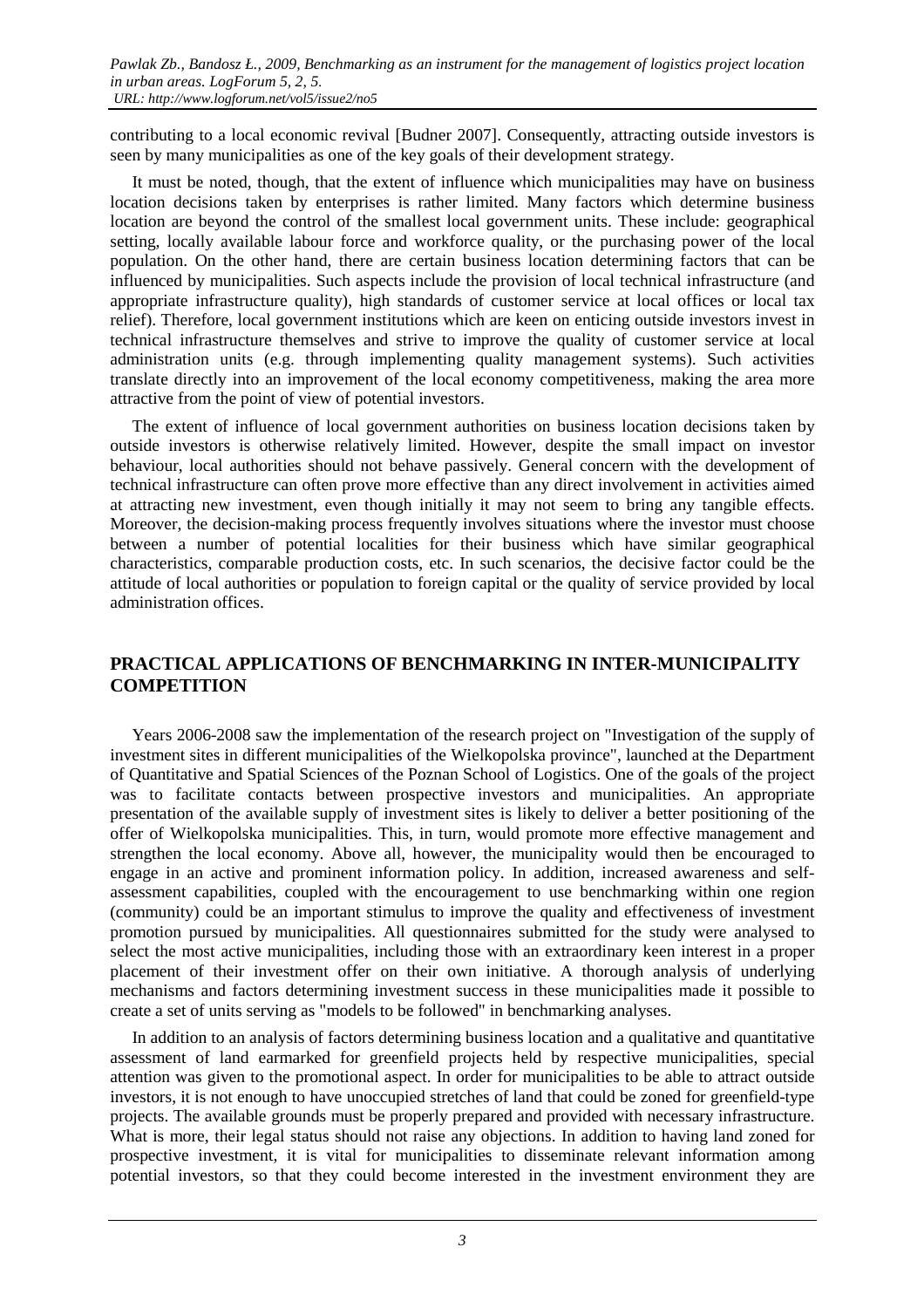contributing to a local economic revival [Budner 2007]. Consequently, attracting outside investors is seen by many municipalities as one of the key goals of their development strategy.

It must be noted, though, that the extent of influence which municipalities may have on business location decisions taken by enterprises is rather limited. Many factors which determine business location are beyond the control of the smallest local government units. These include: geographical setting, locally available labour force and workforce quality, or the purchasing power of the local population. On the other hand, there are certain business location determining factors that can be influenced by municipalities. Such aspects include the provision of local technical infrastructure (and appropriate infrastructure quality), high standards of customer service at local offices or local tax relief). Therefore, local government institutions which are keen on enticing outside investors invest in technical infrastructure themselves and strive to improve the quality of customer service at local administration units (e.g. through implementing quality management systems). Such activities translate directly into an improvement of the local economy competitiveness, making the area more attractive from the point of view of potential investors.

The extent of influence of local government authorities on business location decisions taken by outside investors is otherwise relatively limited. However, despite the small impact on investor behaviour, local authorities should not behave passively. General concern with the development of technical infrastructure can often prove more effective than any direct involvement in activities aimed at attracting new investment, even though initially it may not seem to bring any tangible effects. Moreover, the decision-making process frequently involves situations where the investor must choose between a number of potential localities for their business which have similar geographical characteristics, comparable production costs, etc. In such scenarios, the decisive factor could be the attitude of local authorities or population to foreign capital or the quality of service provided by local administration offices.

### **PRACTICAL APPLICATIONS OF BENCHMARKING IN INTER-MUNICIPALITY COMPETITION**

Years 2006-2008 saw the implementation of the research project on "Investigation of the supply of investment sites in different municipalities of the Wielkopolska province", launched at the Department of Quantitative and Spatial Sciences of the Poznan School of Logistics. One of the goals of the project was to facilitate contacts between prospective investors and municipalities. An appropriate presentation of the available supply of investment sites is likely to deliver a better positioning of the offer of Wielkopolska municipalities. This, in turn, would promote more effective management and strengthen the local economy. Above all, however, the municipality would then be encouraged to engage in an active and prominent information policy. In addition, increased awareness and selfassessment capabilities, coupled with the encouragement to use benchmarking within one region (community) could be an important stimulus to improve the quality and effectiveness of investment promotion pursued by municipalities. All questionnaires submitted for the study were analysed to select the most active municipalities, including those with an extraordinary keen interest in a proper placement of their investment offer on their own initiative. A thorough analysis of underlying mechanisms and factors determining investment success in these municipalities made it possible to create a set of units serving as "models to be followed" in benchmarking analyses.

In addition to an analysis of factors determining business location and a qualitative and quantitative assessment of land earmarked for greenfield projects held by respective municipalities, special attention was given to the promotional aspect. In order for municipalities to be able to attract outside investors, it is not enough to have unoccupied stretches of land that could be zoned for greenfield-type projects. The available grounds must be properly prepared and provided with necessary infrastructure. What is more, their legal status should not raise any objections. In addition to having land zoned for prospective investment, it is vital for municipalities to disseminate relevant information among potential investors, so that they could become interested in the investment environment they are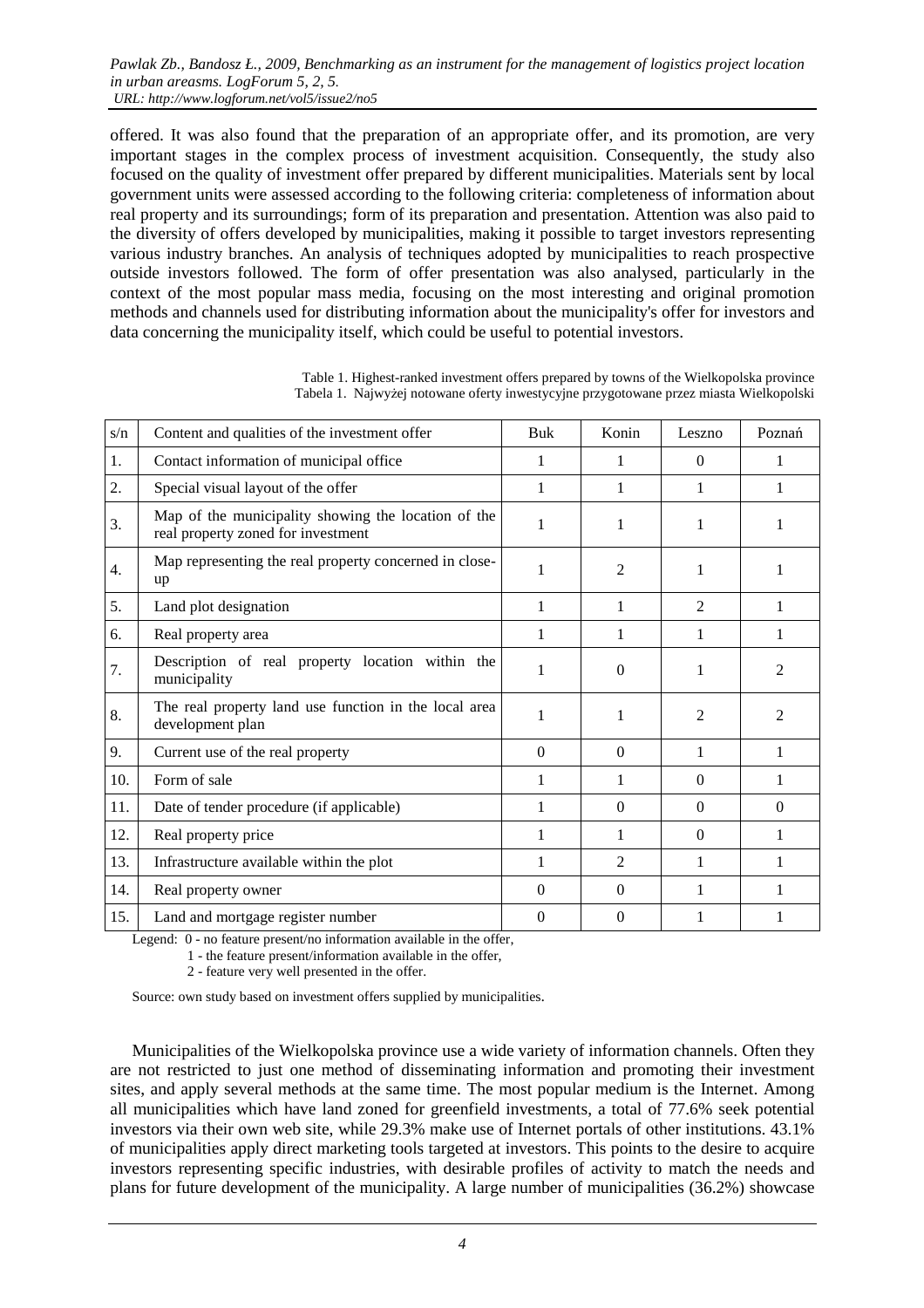offered. It was also found that the preparation of an appropriate offer, and its promotion, are very important stages in the complex process of investment acquisition. Consequently, the study also focused on the quality of investment offer prepared by different municipalities. Materials sent by local government units were assessed according to the following criteria: completeness of information about real property and its surroundings; form of its preparation and presentation. Attention was also paid to the diversity of offers developed by municipalities, making it possible to target investors representing various industry branches. An analysis of techniques adopted by municipalities to reach prospective outside investors followed. The form of offer presentation was also analysed, particularly in the context of the most popular mass media, focusing on the most interesting and original promotion methods and channels used for distributing information about the municipality's offer for investors and data concerning the municipality itself, which could be useful to potential investors.

| s/n | Content and qualities of the investment offer                                             | Buk      | Konin          | Leszno         | Poznań         |
|-----|-------------------------------------------------------------------------------------------|----------|----------------|----------------|----------------|
| 1.  | Contact information of municipal office                                                   |          | 1              | $\theta$       | 1              |
| 2.  | Special visual layout of the offer                                                        |          |                | 1              | 1              |
| 3.  | Map of the municipality showing the location of the<br>real property zoned for investment | 1        | 1              | 1              | 1              |
| 4.  | Map representing the real property concerned in close-<br>up                              |          | $\overline{c}$ | 1              |                |
| 5.  | Land plot designation                                                                     | 1        | 1              | $\overline{2}$ | 1              |
| 6.  | Real property area                                                                        | 1        | 1              | 1              | 1              |
| 7.  | Description of real property location within the<br>municipality                          | 1        | $\Omega$       | 1              | $\mathfrak{D}$ |
| 8.  | The real property land use function in the local area<br>development plan                 | 1        | 1              | 2              | 2              |
| 9.  | Current use of the real property                                                          | $\Omega$ | $\Omega$       | 1              | 1              |
| 10. | Form of sale                                                                              | 1        | 1              | $\theta$       | 1              |
| 11. | Date of tender procedure (if applicable)                                                  | 1        | $\Omega$       | $\Omega$       | $\Omega$       |
| 12. | Real property price                                                                       | 1        | 1              | $\Omega$       | 1              |
| 13. | Infrastructure available within the plot                                                  |          | $\overline{c}$ | 1              | 1              |
| 14. | Real property owner                                                                       | $\Omega$ | $\Omega$       | 1              |                |
| 15. | Land and mortgage register number                                                         | $\theta$ | $\theta$       |                |                |

Table 1. Highest-ranked investment offers prepared by towns of the Wielkopolska province Tabela 1. Najwyżej notowane oferty inwestycyjne przygotowane przez miasta Wielkopolski

Legend: 0 - no feature present/no information available in the offer,

1 - the feature present/information available in the offer,

2 - feature very well presented in the offer.

Source: own study based on investment offers supplied by municipalities.

Municipalities of the Wielkopolska province use a wide variety of information channels. Often they are not restricted to just one method of disseminating information and promoting their investment sites, and apply several methods at the same time. The most popular medium is the Internet. Among all municipalities which have land zoned for greenfield investments, a total of 77.6% seek potential investors via their own web site, while 29.3% make use of Internet portals of other institutions. 43.1% of municipalities apply direct marketing tools targeted at investors. This points to the desire to acquire investors representing specific industries, with desirable profiles of activity to match the needs and plans for future development of the municipality. A large number of municipalities (36.2%) showcase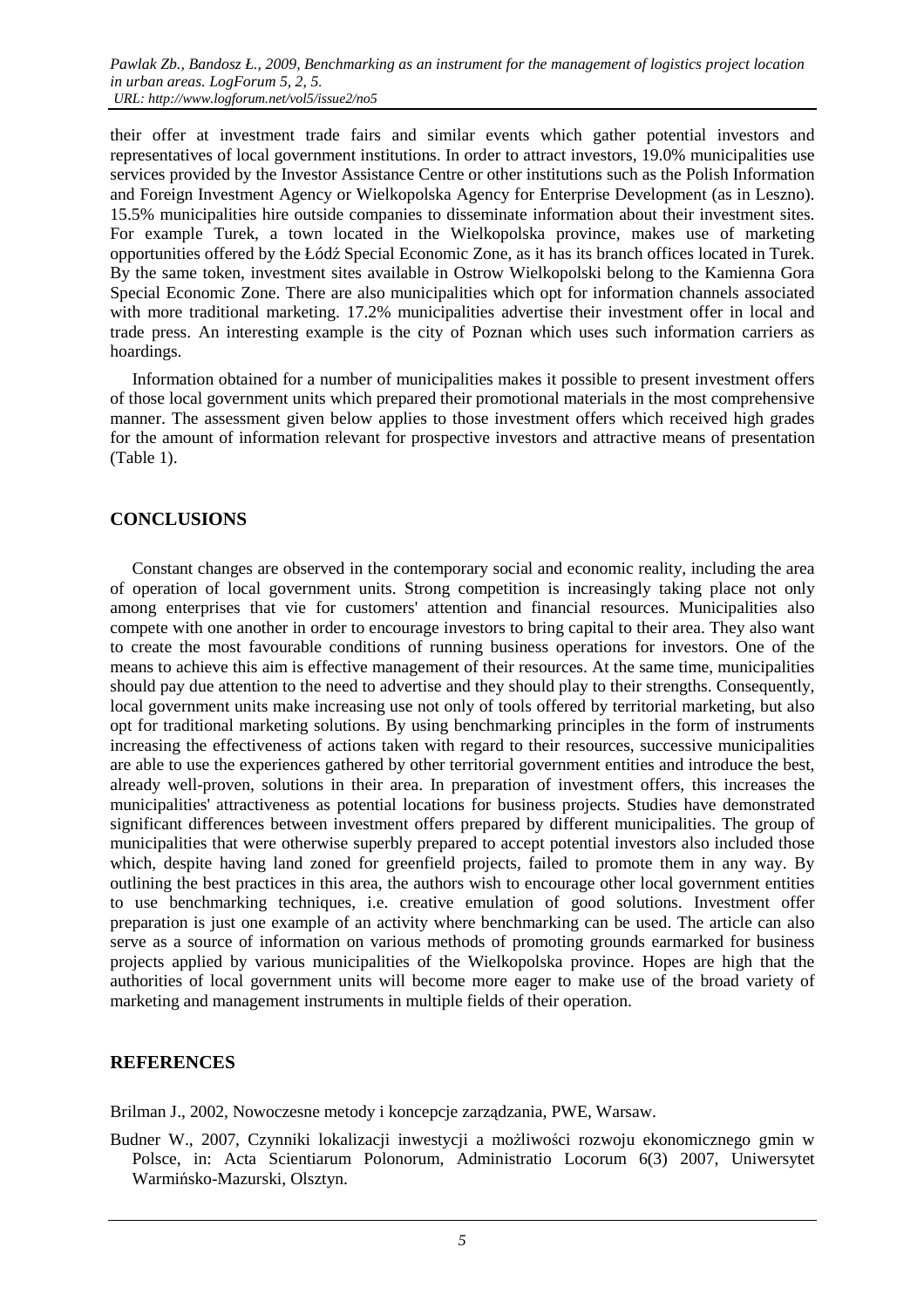their offer at investment trade fairs and similar events which gather potential investors and representatives of local government institutions. In order to attract investors, 19.0% municipalities use services provided by the Investor Assistance Centre or other institutions such as the Polish Information and Foreign Investment Agency or Wielkopolska Agency for Enterprise Development (as in Leszno). 15.5% municipalities hire outside companies to disseminate information about their investment sites. For example Turek, a town located in the Wielkopolska province, makes use of marketing opportunities offered by the Łódź Special Economic Zone, as it has its branch offices located in Turek. By the same token, investment sites available in Ostrow Wielkopolski belong to the Kamienna Gora Special Economic Zone. There are also municipalities which opt for information channels associated with more traditional marketing. 17.2% municipalities advertise their investment offer in local and trade press. An interesting example is the city of Poznan which uses such information carriers as hoardings.

Information obtained for a number of municipalities makes it possible to present investment offers of those local government units which prepared their promotional materials in the most comprehensive manner. The assessment given below applies to those investment offers which received high grades for the amount of information relevant for prospective investors and attractive means of presentation (Table 1).

### **CONCLUSIONS**

Constant changes are observed in the contemporary social and economic reality, including the area of operation of local government units. Strong competition is increasingly taking place not only among enterprises that vie for customers' attention and financial resources. Municipalities also compete with one another in order to encourage investors to bring capital to their area. They also want to create the most favourable conditions of running business operations for investors. One of the means to achieve this aim is effective management of their resources. At the same time, municipalities should pay due attention to the need to advertise and they should play to their strengths. Consequently, local government units make increasing use not only of tools offered by territorial marketing, but also opt for traditional marketing solutions. By using benchmarking principles in the form of instruments increasing the effectiveness of actions taken with regard to their resources, successive municipalities are able to use the experiences gathered by other territorial government entities and introduce the best, already well-proven, solutions in their area. In preparation of investment offers, this increases the municipalities' attractiveness as potential locations for business projects. Studies have demonstrated significant differences between investment offers prepared by different municipalities. The group of municipalities that were otherwise superbly prepared to accept potential investors also included those which, despite having land zoned for greenfield projects, failed to promote them in any way. By outlining the best practices in this area, the authors wish to encourage other local government entities to use benchmarking techniques, i.e. creative emulation of good solutions. Investment offer preparation is just one example of an activity where benchmarking can be used. The article can also serve as a source of information on various methods of promoting grounds earmarked for business projects applied by various municipalities of the Wielkopolska province. Hopes are high that the authorities of local government units will become more eager to make use of the broad variety of marketing and management instruments in multiple fields of their operation.

#### **REFERENCES**

Brilman J., 2002, Nowoczesne metody i koncepcje zarządzania, PWE, Warsaw.

Budner W., 2007, Czynniki lokalizacji inwestycji a możliwości rozwoju ekonomicznego gmin w Polsce, in: Acta Scientiarum Polonorum, Administratio Locorum 6(3) 2007, Uniwersytet Warmińsko-Mazurski, Olsztyn.